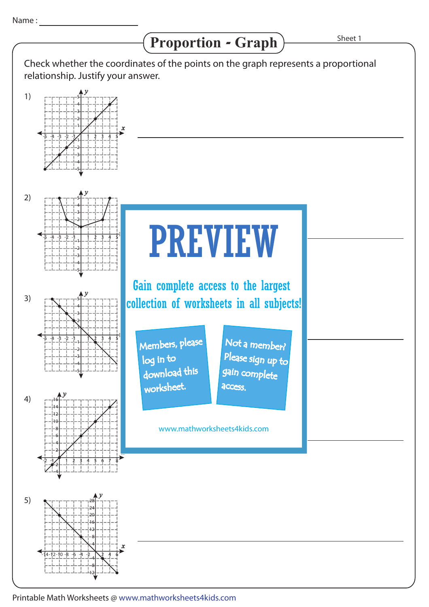## Proportion - Graph) Sheet 1



-12